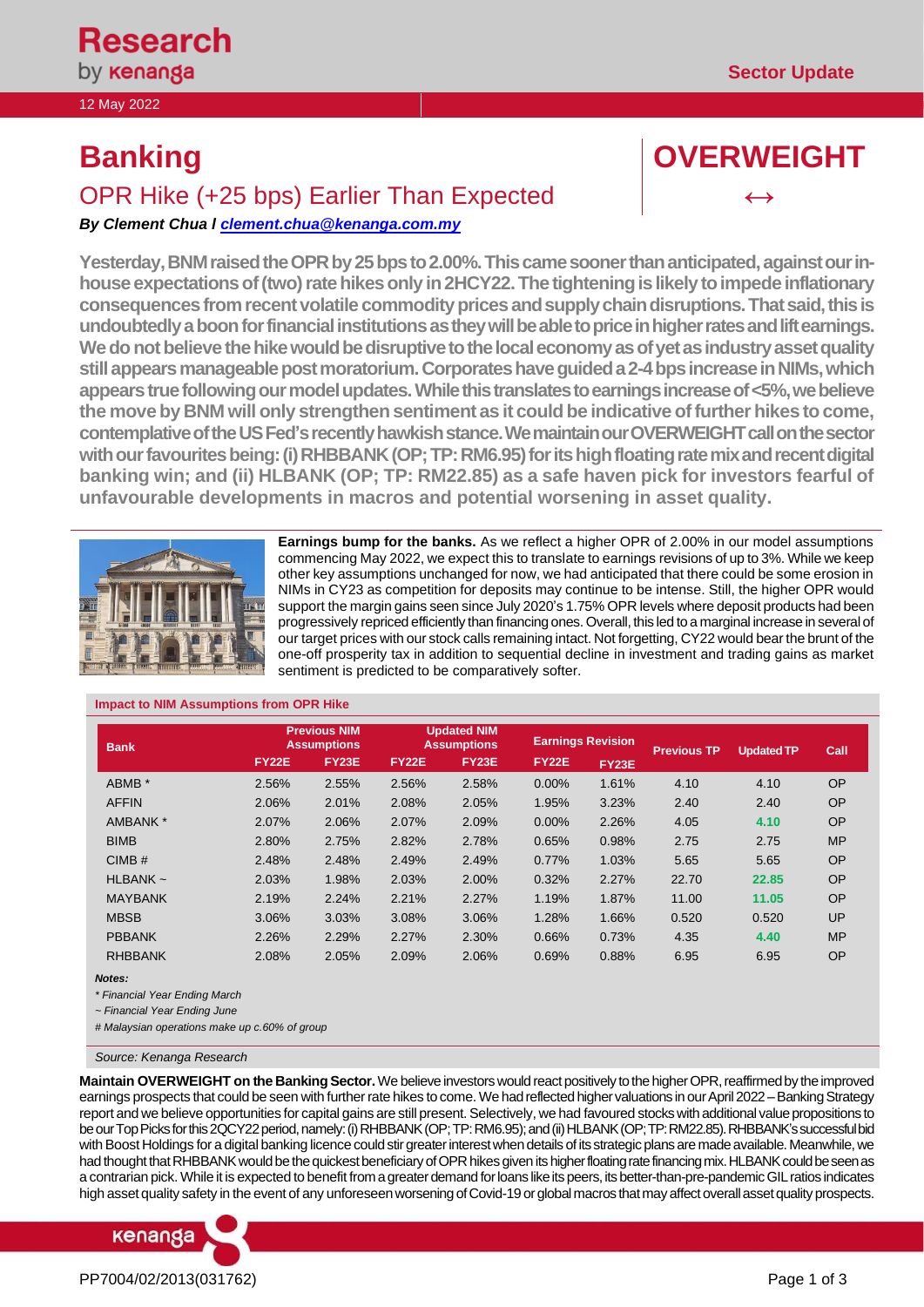12 May 2022

# **Banking COVERWEIGHT**

## OPR Hike (+25 bps) Earlier Than Expected

*By Clement Ch[ua l clement.chua@kenanga.co](mailto:clement.chua@kenanga.com.my)m.my*

Yesterday, BNM raised the OPR by 25 bps to 2.00%. This came sooner than anticipated, against our inhouse expectations of (two) rate hikes only in 2HCY22. The tightening is likely to impede inflationary consequences from recent volatile commodity prices and supply chain disruptions. That said, this is **undoubtedlya boon for financial institutions as they will be able to price in higher rates and lift earnings. We do not believe the hike would be disruptive to the local economy as of yet as industry asset quality still appears manageable postmoratorium. Corporates have guided a 2-4 bps increase in NIMs, which appears true following our model updates. While this translates to earnings increase of <5%, we believe the move by BNM will only strengthen sentiment as it could be indicative of further hikes to come, contemplative of the US Fed's recently hawkish stance. We maintain our OVERWEIGHT call on the sector with our favourites being: (i) RHBBANK (OP; TP: RM6.95) for its high floating rate mix and recent digital banking win; and (ii) HLBANK (OP; TP: RM22.85) as a safe haven pick for investors fearful of unfavourable developments in macros and potential worsening in asset quality.** 



**Earnings bump for the banks.** As we reflect a higher OPR of 2.00% in our model assumptions commencing May 2022, we expect this to translate to earnings revisions of up to 3%. While we keep other key assumptions unchanged for now, we had anticipated that there could be some erosion in NIMs in CY23 as competition for deposits may continue to be intense. Still, the higher OPR would support the margin gains seen since July 2020's 1.75% OPR levels where deposit products had been progressively repriced efficiently than financing ones. Overall, this led to a marginal increase in several of our target prices with our stock calls remaining intact. Not forgetting, CY22 would bear the brunt of the one-off prosperity tax in addition to sequential decline in investment and trading gains as market sentiment is predicted to be comparatively softer.

| <b>Bank</b>    | <b>Previous NIM</b><br><b>Assumptions</b> |              |              | <b>Updated NIM</b><br><b>Assumptions</b> |              | <b>Earnings Revision</b> | <b>Previous TP</b> | <b>Updated TP</b> | Call      |  |
|----------------|-------------------------------------------|--------------|--------------|------------------------------------------|--------------|--------------------------|--------------------|-------------------|-----------|--|
|                | <b>FY22E</b>                              | <b>FY23E</b> | <b>FY22E</b> | <b>FY23E</b>                             | <b>FY22E</b> | <b>FY23E</b>             |                    |                   |           |  |
| ABMB *         | 2.56%                                     | 2.55%        | 2.56%        | 2.58%                                    | 0.00%        | 1.61%                    | 4.10               | 4.10              | <b>OP</b> |  |
| <b>AFFIN</b>   | 2.06%                                     | 2.01%        | 2.08%        | 2.05%                                    | 1.95%        | 3.23%                    | 2.40               | 2.40              | <b>OP</b> |  |
| AMBANK *       | 2.07%                                     | 2.06%        | 2.07%        | 2.09%                                    | 0.00%        | 2.26%                    | 4.05               | 4.10              | <b>OP</b> |  |
| <b>BIMB</b>    | 2.80%                                     | 2.75%        | 2.82%        | 2.78%                                    | 0.65%        | 0.98%                    | 2.75               | 2.75              | <b>MP</b> |  |
| CIMB#          | 2.48%                                     | 2.48%        | 2.49%        | 2.49%                                    | 0.77%        | 1.03%                    | 5.65               | 5.65              | OP        |  |
| $HLBANK \sim$  | 2.03%                                     | 1.98%        | 2.03%        | 2.00%                                    | 0.32%        | 2.27%                    | 22.70              | 22.85             | <b>OP</b> |  |
| <b>MAYBANK</b> | 2.19%                                     | 2.24%        | 2.21%        | 2.27%                                    | 1.19%        | 1.87%                    | 11.00              | 11.05             | <b>OP</b> |  |
| <b>MBSB</b>    | 3.06%                                     | 3.03%        | 3.08%        | 3.06%                                    | 1.28%        | 1.66%                    | 0.520              | 0.520             | UP        |  |
| <b>PBBANK</b>  | 2.26%                                     | 2.29%        | 2.27%        | 2.30%                                    | 0.66%        | 0.73%                    | 4.35               | 4.40              | <b>MP</b> |  |
| <b>RHBBANK</b> | 2.08%                                     | 2.05%        | 2.09%        | 2.06%                                    | 0.69%        | 0.88%                    | 6.95               | 6.95              | OP        |  |

#### **Impact to NIM Assumptions from OPR Hike**

*Notes:*

*\* Financial Year Ending March*

*~ Financial Year Ending June*

*# Malaysian operations make up c.60% of group*

*Source: Kenanga Research*

**Maintain OVERWEIGHT on the Banking Sector.** We believe investors would react positively to the higher OPR, reaffirmed by the improved earnings prospects that could be seen with further rate hikes to come. We had reflected higher valuations in our April 2022 – Banking Strategy report and we believe opportunities for capital gains are still present. Selectively, we had favoured stocks with additional value propositions to be our Top Picks for this 2QCY22 period, namely: (i) RHBBANK (OP; TP: RM6.95); and (ii) HLBANK (OP; TP: RM22.85). RHBBANK's successful bid with Boost Holdings for a digital banking licence could stir greater interestwhen details of its strategic plans are made available. Meanwhile, we had thought that RHBBANK would be the quickest beneficiary of OPR hikes given its higher floating rate financing mix. HLBANK could be seen as a contrarian pick. While it is expected to benefit from a greater demand for loans like its peers, its better-than-pre-pandemic GIL ratios indicates high asset quality safety in the event of any unforeseen worsening of Covid-19 or global macros thatmay affect overall asset quality prospects.

# kenanga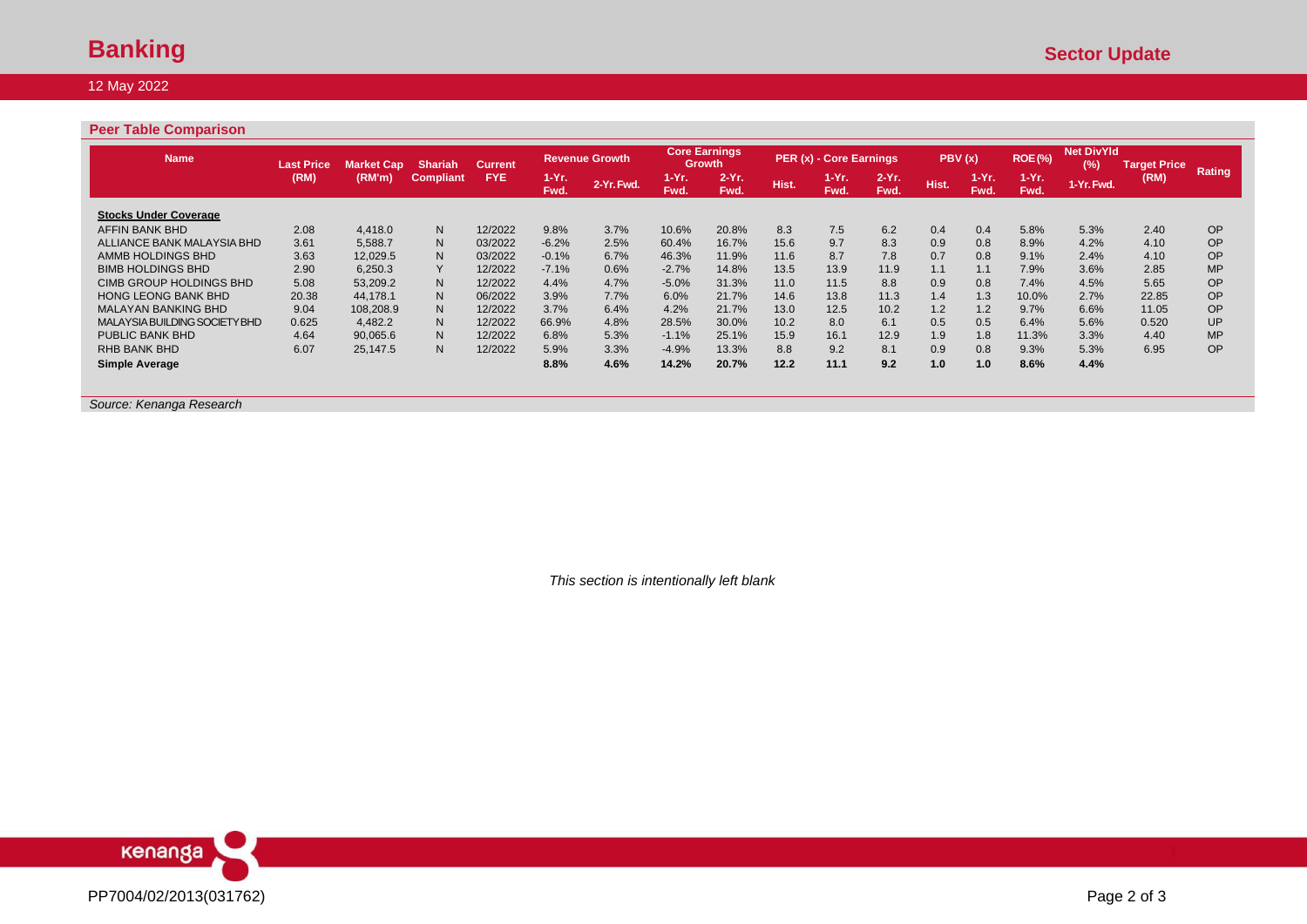#### 12 May 2022

### **Peer Table Comparison**

| <b>Name</b>                   | <b>Last Price</b> | <b>Market Cap</b> | <b>Shariah</b>   | <b>Current</b> |                    | <b>Revenue Growth</b> |                     | <b>Core Earnings</b><br>Growth |       | PER (x) - Core Earnings |                  | PBV(x) |                 | <b>ROE(%)</b>    | <b>Net DivYld</b><br>(%) | <b>Target Price</b> | Rating    |
|-------------------------------|-------------------|-------------------|------------------|----------------|--------------------|-----------------------|---------------------|--------------------------------|-------|-------------------------|------------------|--------|-----------------|------------------|--------------------------|---------------------|-----------|
|                               | (RM)              | (RM'm)            | <b>Compliant</b> | FYE.           | $1 - Yr$ .<br>Fwd. | 2-Yr. Fwd.            | <b>TEYR</b><br>Fwd. | $2-Yr$ .<br>Fwd.               | Hist. | $1-Yr.$<br>Fwd.         | $2-Yr$ .<br>Fwd. | Hist.  | $1-Yr.$<br>Fwd. | $1-Yr$ .<br>Fwd. | 1-Yr. Fwd.               | (RM)                |           |
| <b>Stocks Under Coverage</b>  |                   |                   |                  |                |                    |                       |                     |                                |       |                         |                  |        |                 |                  |                          |                     |           |
| AFFIN BANK BHD                | 2.08              | 4.418.0           | N                | 12/2022        | 9.8%               | 3.7%                  | 10.6%               | 20.8%                          | 8.3   | 7.5                     | 6.2              | 0.4    | 0.4             | 5.8%             | 5.3%                     | 2.40                | <b>OP</b> |
| ALLIANCE BANK MALAYSIA BHD    | 3.61              | 5.588.7           | N                | 03/2022        | $-6.2%$            | 2.5%                  | 60.4%               | 16.7%                          | 15.6  | 9.7                     | 8.3              | 0.9    | 0.8             | 8.9%             | 4.2%                     | 4.10                | <b>OP</b> |
| AMMB HOLDINGS BHD             | 3.63              | 12,029.5          | N                | 03/2022        | $-0.1%$            | 6.7%                  | 46.3%               | 11.9%                          | 11.6  | 8.7                     | 7.8              | 0.7    | 0.8             | 9.1%             | 2.4%                     | 4.10                | <b>OP</b> |
| <b>BIMB HOLDINGS BHD</b>      | 2.90              | 6,250.3           | Y                | 12/2022        | $-7.1%$            | 0.6%                  | $-2.7%$             | 14.8%                          | 13.5  | 13.9                    | 11.9             | 1.1    | 1.1             | 7.9%             | 3.6%                     | 2.85                | <b>MP</b> |
| CIMB GROUP HOLDINGS BHD       | 5.08              | 53.209.2          | N                | 12/2022        | 4.4%               | 4.7%                  | $-5.0%$             | 31.3%                          | 11.0  | 11.5                    | 8.8              | 0.9    | 0.8             | 7.4%             | 4.5%                     | 5.65                | <b>OP</b> |
| <b>HONG LEONG BANK BHD</b>    | 20.38             | 44.178.1          | N                | 06/2022        | 3.9%               | 7.7%                  | 6.0%                | 21.7%                          | 14.6  | 13.8                    | 11.3             | 1.4    | 1.3             | 10.0%            | 2.7%                     | 22.85               | <b>OP</b> |
| <b>MALAYAN BANKING BHD</b>    | 9.04              | 108.208.9         | N                | 12/2022        | 3.7%               | 6.4%                  | 4.2%                | 21.7%                          | 13.0  | 12.5                    | 10.2             | 1.2    | 1.2             | 9.7%             | 6.6%                     | 11.05               | <b>OP</b> |
| MALAYSIA BUILDING SOCIETY BHD | 0.625             | 4.482.2           | N                | 12/2022        | 66.9%              | 4.8%                  | 28.5%               | 30.0%                          | 10.2  | 8.0                     | 6.1              | 0.5    | 0.5             | 6.4%             | 5.6%                     | 0.520               | UP        |
| PUBLIC BANK BHD               | 4.64              | 90.065.6          | N                | 12/2022        | 6.8%               | 5.3%                  | $-1.1%$             | 25.1%                          | 15.9  | 16.1                    | 12.9             | 1.9    | 1.8             | 11.3%            | 3.3%                     | 4.40                | <b>MP</b> |
| RHB BANK BHD                  | 6.07              | 25.147.5          | N                | 12/2022        | 5.9%               | 3.3%                  | $-4.9%$             | 13.3%                          | 8.8   | 9.2                     | 8.1              | 0.9    | 0.8             | 9.3%             | 5.3%                     | 6.95                | <b>OP</b> |
| Simple Average                |                   |                   |                  |                | 8.8%               | 4.6%                  | 14.2%               | 20.7%                          | 12.2  | 11.1                    | 9.2              | 1.0    | 1.0             | 8.6%             | 4.4%                     |                     |           |

*Source: Kenanga Research* 

*This section is intentionally left blank*